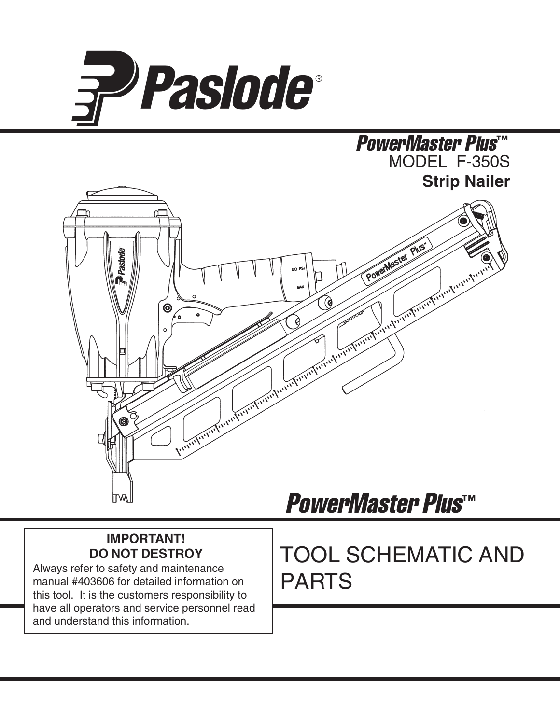

### MODEL F-350S **Strip Nailer** PowerMaster Plus™



### **IMPORTANT! DO NOT DESTROY**

Always refer to safety and maintenance manual #403606 for detailed information on this tool. It is the customers responsibility to have all operators and service personnel read and understand this information.

# PowerMaster Plus™

# TOOL SCHEMATIC AND PARTS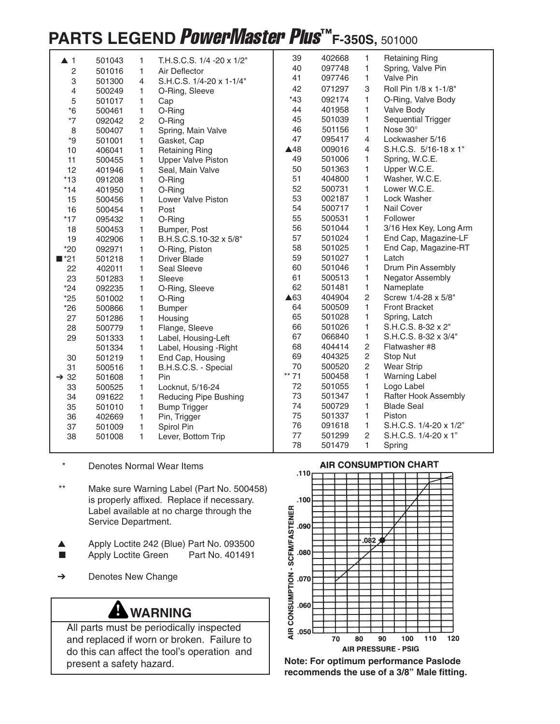## **PARTS LEGEND PowerMaster Plus™F-350S, 501000**

| $\blacktriangle$ 1 | 501043           | 1 | T.H.S.C.S. 1/4 -20 x 1/2"    | 39             | 402668 | $\mathbf{1}$   | <b>Retaining Ring</b>  |
|--------------------|------------------|---|------------------------------|----------------|--------|----------------|------------------------|
| $\overline{c}$     |                  | 1 | Air Deflector                | 40             | 097748 | 1              | Spring, Valve Pin      |
| 3                  | 501016<br>501300 | 4 | S.H.C.S. 1/4-20 x 1-1/4"     | 41             | 097746 | 1              | <b>Valve Pin</b>       |
| 4                  | 500249           | 1 | O-Ring, Sleeve               | 42             | 071297 | 3              | Roll Pin 1/8 x 1-1/8"  |
| 5                  | 501017           | 1 |                              | *43            | 092174 | 1              | O-Ring, Valve Body     |
| $*6$               | 500461           | 1 | Cap<br>O-Ring                | 44             | 401958 | 1              | Valve Body             |
| $*7$               | 092042           | 2 | O-Ring                       | 45             | 501039 | 1              | Sequential Trigger     |
| 8                  | 500407           | 1 | Spring, Main Valve           | 46             | 501156 | 1              | Nose 30°               |
| ${}^{\star}9$      | 501001           | 1 | Gasket, Cap                  | 47             | 095417 | $\overline{4}$ | Lockwasher 5/16        |
| 10                 | 406041           | 1 | <b>Retaining Ring</b>        | $\triangle$ 48 | 009016 | 4              | S.H.C.S. 5/16-18 x 1"  |
| 11                 | 500455           | 1 | <b>Upper Valve Piston</b>    | 49             | 501006 | 1              | Spring, W.C.E.         |
| 12                 | 401946           | 1 | Seal, Main Valve             | 50             | 501363 | 1              | Upper W.C.E.           |
| $*13$              | 091208           | 1 | O-Ring                       | 51             | 404800 | 1              | Washer, W.C.E.         |
| $*14$              | 401950           | 1 | O-Ring                       | 52             | 500731 | 1              | Lower W.C.E.           |
| 15                 | 500456           | 1 | Lower Valve Piston           | 53             | 002187 | 1              | Lock Washer            |
| 16                 | 500454           | 1 | Post                         | 54             | 500717 | 1              | <b>Nail Cover</b>      |
| $*17$              | 095432           | 1 | O-Ring                       | 55             | 500531 | 1              | Follower               |
| 18                 | 500453           | 1 | Bumper, Post                 | 56             | 501044 | 1              | 3/16 Hex Key, Long Arm |
| 19                 | 402906           | 1 | B.H.S.C.S.10-32 x 5/8"       | 57             | 501024 | 1              | End Cap, Magazine-LF   |
| $*20$              | 092971           | 1 | O-Ring, Piston               | 58             | 501025 | 1              | End Cap, Magazine-RT   |
| $\blacksquare$ *21 | 501218           | 1 | <b>Driver Blade</b>          | 59             | 501027 | $\mathbf{1}$   | Latch                  |
| 22                 | 402011           | 1 | Seal Sleeve                  | 60             | 501046 | 1              | Drum Pin Assembly      |
| 23                 | 501283           | 1 | Sleeve                       | 61             | 500513 | 1              | Negator Assembly       |
| $*24$              | 092235           | 1 | O-Ring, Sleeve               | 62             | 501481 | 1              | Nameplate              |
| $*25$              | 501002           | 1 | O-Ring                       | ▲63            | 404904 | $\overline{c}$ | Screw 1/4-28 x 5/8"    |
| $*26$              | 500866           | 1 | <b>Bumper</b>                | 64             | 500509 | 1              | <b>Front Bracket</b>   |
| 27                 | 501286           | 1 | Housing                      | 65             | 501028 | 1              | Spring, Latch          |
| 28                 | 500779           | 1 | Flange, Sleeve               | 66             | 501026 | 1              | S.H.C.S. 8-32 x 2"     |
| 29                 | 501333           | 1 | Label, Housing-Left          | 67             | 066840 | 1              | S.H.C.S. 8-32 x 3/4"   |
|                    | 501334           | 1 | Label, Housing - Right       | 68             | 404414 | $\sqrt{2}$     | Flatwasher #8          |
| 30                 | 501219           | 1 | End Cap, Housing             | 69             | 404325 | $\overline{c}$ | Stop Nut               |
| 31                 | 500516           | 1 | B.H.S.C.S. - Special         | 70             | 500520 | $\overline{c}$ | <b>Wear Strip</b>      |
| $\rightarrow$ 32   | 501608           | 1 | Pin                          | $***$<br>71    | 500458 | $\mathbf{1}$   | <b>Warning Label</b>   |
| 33                 | 500525           | 1 | Locknut, 5/16-24             | 72             | 501055 | 1              | Logo Label             |
| 34                 | 091622           | 1 | <b>Reducing Pipe Bushing</b> | 73             | 501347 | 1              | Rafter Hook Assembly   |
| 35                 | 501010           | 1 | <b>Bump Trigger</b>          | 74             | 500729 | 1              | <b>Blade Seal</b>      |
| 36                 | 402669           | 1 | Pin, Trigger                 | 75             | 501337 | 1              | Piston                 |
| 37                 | 501009           | 1 | Spirol Pin                   | 76             | 091618 | 1              | S.H.C.S. 1/4-20 x 1/2" |
| 38                 | 501008           | 1 | Lever, Bottom Trip           | 77             | 501299 | $\overline{c}$ | S.H.C.S. 1/4-20 x 1"   |
|                    |                  |   |                              | 78             | 501479 | 1              | Spring                 |

- Denotes Normal Wear Items
- \*\* Make sure Warning Label (Part No. 500458) is properly affixed. Replace if necessary. Label available at no charge through the Service Department.
- ▲ Apply Loctite 242 (Blue) Part No. 093500
- Apply Loctite Green Part No. 401491
- ➔ Denotes New Change

### **WARNING**

All parts must be periodically inspected and replaced if worn or broken. Failure to do this can affect the tool's operation and present a safety hazard.





**Note: For optimum performance Paslode recommends the use of a 3/8" Male fitting.**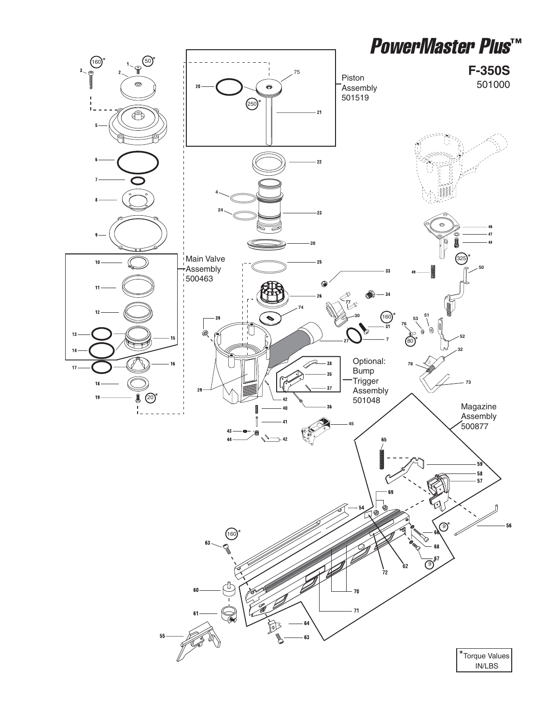